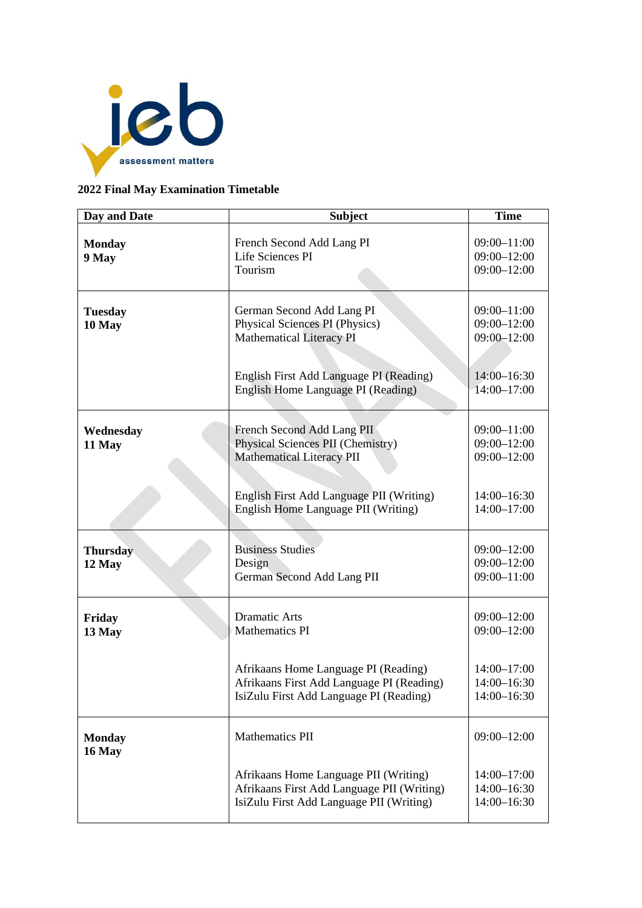

## **2022 Final May Examination Timetable**

| Day and Date              | <b>Subject</b>                                                                                                                  | <b>Time</b>                                           |
|---------------------------|---------------------------------------------------------------------------------------------------------------------------------|-------------------------------------------------------|
| <b>Monday</b><br>9 May    | French Second Add Lang PI<br>Life Sciences PI<br>Tourism                                                                        | $09:00 - 11:00$<br>$09:00 - 12:00$<br>$09:00 - 12:00$ |
| <b>Tuesday</b><br>10 May  | German Second Add Lang PI<br>Physical Sciences PI (Physics)<br>Mathematical Literacy PI                                         | $09:00 - 11:00$<br>$09:00 - 12:00$<br>$09:00 - 12:00$ |
|                           | English First Add Language PI (Reading)<br>English Home Language PI (Reading)                                                   | $14:00 - 16:30$<br>14:00-17:00                        |
| Wednesday<br>11 May       | French Second Add Lang PII<br><b>Physical Sciences PII (Chemistry)</b><br><b>Mathematical Literacy PII</b>                      | $09:00 - 11:00$<br>$09:00 - 12:00$<br>$09:00 - 12:00$ |
|                           | English First Add Language PII (Writing)<br>English Home Language PII (Writing)                                                 | $14:00 - 16:30$<br>14:00-17:00                        |
| <b>Thursday</b><br>12 May | <b>Business Studies</b><br>Design<br>German Second Add Lang PII                                                                 | $09:00 - 12:00$<br>$09:00 - 12:00$<br>$09:00 - 11:00$ |
| Friday<br>13 May          | <b>Dramatic Arts</b><br><b>Mathematics PI</b>                                                                                   | $09:00 - 12:00$<br>$09:00 - 12:00$                    |
|                           | Afrikaans Home Language PI (Reading)<br>Afrikaans First Add Language PI (Reading)<br>IsiZulu First Add Language PI (Reading)    | 14:00-17:00<br>14:00-16:30<br>14:00-16:30             |
| <b>Monday</b><br>16 May   | <b>Mathematics PII</b>                                                                                                          | $09:00 - 12:00$                                       |
|                           | Afrikaans Home Language PII (Writing)<br>Afrikaans First Add Language PII (Writing)<br>IsiZulu First Add Language PII (Writing) | 14:00-17:00<br>14:00-16:30<br>14:00-16:30             |